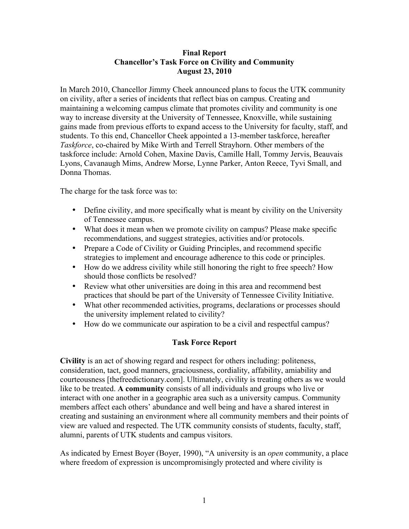# **Final Report Chancellor's Task Force on Civility and Community August 23, 2010**

In March 2010, Chancellor Jimmy Cheek announced plans to focus the UTK community on civility, after a series of incidents that reflect bias on campus. Creating and maintaining a welcoming campus climate that promotes civility and community is one way to increase diversity at the University of Tennessee, Knoxville, while sustaining gains made from previous efforts to expand access to the University for faculty, staff, and students. To this end, Chancellor Cheek appointed a 13-member taskforce, hereafter *Taskforce*, co-chaired by Mike Wirth and Terrell Strayhorn. Other members of the taskforce include: Arnold Cohen, Maxine Davis, Camille Hall, Tommy Jervis, Beauvais Lyons, Cavanaugh Mims, Andrew Morse, Lynne Parker, Anton Reece, Tyvi Small, and Donna Thomas.

The charge for the task force was to:

- Define civility, and more specifically what is meant by civility on the University of Tennessee campus.
- What does it mean when we promote civility on campus? Please make specific recommendations, and suggest strategies, activities and/or protocols.
- Prepare a Code of Civility or Guiding Principles, and recommend specific strategies to implement and encourage adherence to this code or principles.
- How do we address civility while still honoring the right to free speech? How should those conflicts be resolved?
- Review what other universities are doing in this area and recommend best practices that should be part of the University of Tennessee Civility Initiative.
- What other recommended activities, programs, declarations or processes should the university implement related to civility?
- How do we communicate our aspiration to be a civil and respectful campus?

# **Task Force Report**

**Civility** is an act of showing regard and respect for others including: politeness, consideration, tact, good manners, graciousness, cordiality, affability, amiability and courteousness [thefreedictionary.com]. Ultimately, civility is treating others as we would like to be treated. **A community** consists of all individuals and groups who live or interact with one another in a geographic area such as a university campus. Community members affect each others' abundance and well being and have a shared interest in creating and sustaining an environment where all community members and their points of view are valued and respected. The UTK community consists of students, faculty, staff, alumni, parents of UTK students and campus visitors.

As indicated by Ernest Boyer (Boyer, 1990), "A university is an *open* community, a place where freedom of expression is uncompromisingly protected and where civility is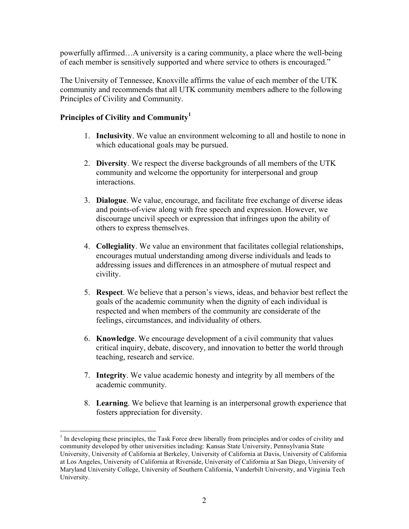powerfully affirmed…A university is a caring community, a place where the well-being of each member is sensitively supported and where service to others is encouraged."

The University of Tennessee, Knoxville affirms the value of each member of the UTK community and recommends that all UTK community members adhere to the following Principles of Civility and Community.

# **Principles of Civility and Community1**

- 1. **Inclusivity**. We value an environment welcoming to all and hostile to none in which educational goals may be pursued.
- 2. **Diversity**. We respect the diverse backgrounds of all members of the UTK community and welcome the opportunity for interpersonal and group interactions.
- 3. **Dialogue**. We value, encourage, and facilitate free exchange of diverse ideas and points-of-view along with free speech and expression. However, we discourage uncivil speech or expression that infringes upon the ability of others to express themselves.
- 4. **Collegiality**. We value an environment that facilitates collegial relationships, encourages mutual understanding among diverse individuals and leads to addressing issues and differences in an atmosphere of mutual respect and civility.
- 5. **Respect**. We believe that a person's views, ideas, and behavior best reflect the goals of the academic community when the dignity of each individual is respected and when members of the community are considerate of the feelings, circumstances, and individuality of others.
- 6. **Knowledge**. We encourage development of a civil community that values critical inquiry, debate, discovery, and innovation to better the world through teaching, research and service.
- 7. **Integrity**. We value academic honesty and integrity by all members of the academic community.
- 8. **Learning**. We believe that learning is an interpersonal growth experience that fosters appreciation for diversity.

 $<sup>1</sup>$  In developing these principles, the Task Force drew liberally from principles and/or codes of civility and</sup> community developed by other universities including: Kansas State University, Pennsylvania State University, University of California at Berkeley, University of California at Davis, University of California at Los Angeles, University of California at Riverside, University of California at San Diego, University of Maryland University College, University of Southern California, Vanderbilt University, and Virginia Tech University.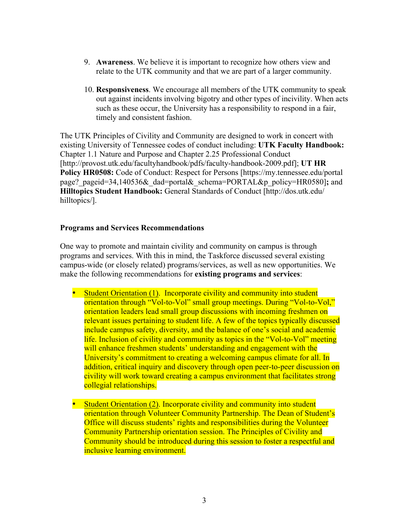- 9. **Awareness**. We believe it is important to recognize how others view and relate to the UTK community and that we are part of a larger community.
- 10. **Responsiveness**. We encourage all members of the UTK community to speak out against incidents involving bigotry and other types of incivility. When acts such as these occur, the University has a responsibility to respond in a fair, timely and consistent fashion.

The UTK Principles of Civility and Community are designed to work in concert with existing University of Tennessee codes of conduct including: **UTK Faculty Handbook:** Chapter 1.1 Nature and Purpose and Chapter 2.25 Professional Conduct [http://provost.utk.edu/facultyhandbook/pdfs/faculty-handbook-2009.pdf]; **UT HR Policy HR0508:** Code of Conduct: Respect for Persons [https://my.tennessee.edu/portal page?\_pageid=34,140536&\_dad=portal&\_schema=PORTAL&p\_policy=HR0580]**;** and **Hilltopics Student Handbook:** General Standards of Conduct [http://dos.utk.edu/ hilltopics/].

## **Programs and Services Recommendations**

One way to promote and maintain civility and community on campus is through programs and services. With this in mind, the Taskforce discussed several existing campus-wide (or closely related) programs/services, as well as new opportunities. We make the following recommendations for **existing programs and services**:

- Student Orientation (1). Incorporate civility and community into student orientation through "Vol-to-Vol" small group meetings. During "Vol-to-Vol," orientation leaders lead small group discussions with incoming freshmen on relevant issues pertaining to student life. A few of the topics typically discussed include campus safety, diversity, and the balance of one's social and academic life. Inclusion of civility and community as topics in the "Vol-to-Vol" meeting will enhance freshmen students' understanding and engagement with the University's commitment to creating a welcoming campus climate for all. In addition, critical inquiry and discovery through open peer-to-peer discussion on civility will work toward creating a campus environment that facilitates strong collegial relationships.
- Student Orientation (2). Incorporate civility and community into student orientation through Volunteer Community Partnership. The Dean of Student's Office will discuss students' rights and responsibilities during the Volunteer Community Partnership orientation session. The Principles of Civility and Community should be introduced during this session to foster a respectful and inclusive learning environment.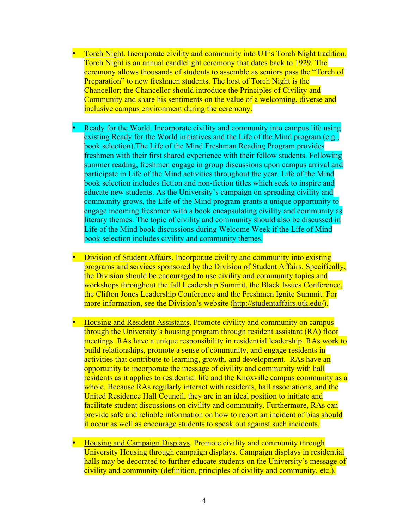- Torch Night. Incorporate civility and community into UT's Torch Night tradition. Torch Night is an annual candlelight ceremony that dates back to 1929. The ceremony allows thousands of students to assemble as seniors pass the "Torch of Preparation" to new freshmen students. The host of Torch Night is the Chancellor; the Chancellor should introduce the Principles of Civility and Community and share his sentiments on the value of a welcoming, diverse and inclusive campus environment during the ceremony.
- Ready for the World. Incorporate civility and community into campus life using existing Ready for the World initiatives and the Life of the Mind program (e.g., book selection).The Life of the Mind Freshman Reading Program provides freshmen with their first shared experience with their fellow students. Following summer reading, freshmen engage in group discussions upon campus arrival and participate in Life of the Mind activities throughout the year. Life of the Mind book selection includes fiction and non-fiction titles which seek to inspire and educate new students. As the University's campaign on spreading civility and community grows, the Life of the Mind program grants a unique opportunity to engage incoming freshmen with a book encapsulating civility and community as literary themes. The topic of civility and community should also be discussed in Life of the Mind book discussions during Welcome Week if the Life of Mind book selection includes civility and community themes.
- Division of Student Affairs. Incorporate civility and community into existing programs and services sponsored by the Division of Student Affairs. Specifically, the Division should be encouraged to use civility and community topics and workshops throughout the fall Leadership Summit, the Black Issues Conference, the Clifton Jones Leadership Conference and the Freshmen Ignite Summit. For more information, see the Division's website (http://studentaffairs.utk.edu/).
- Housing and Resident Assistants. Promote civility and community on campus through the University's housing program through resident assistant (RA) floor meetings. RAs have a unique responsibility in residential leadership. RAs work to build relationships, promote a sense of community, and engage residents in activities that contribute to learning, growth, and development. RAs have an opportunity to incorporate the message of civility and community with hall residents as it applies to residential life and the Knoxville campus community as a whole. Because RAs regularly interact with residents, hall associations, and the United Residence Hall Council, they are in an ideal position to initiate and facilitate student discussions on civility and community. Furthermore, RAs can provide safe and reliable information on how to report an incident of bias should it occur as well as encourage students to speak out against such incidents.
- Housing and Campaign Displays. Promote civility and community through University Housing through campaign displays. Campaign displays in residential halls may be decorated to further educate students on the University's message of civility and community (definition, principles of civility and community, etc.).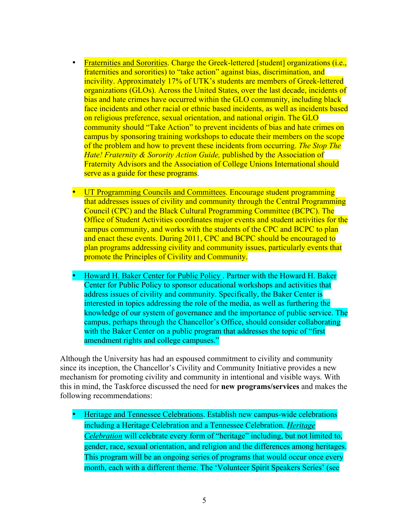- Fraternities and Sororities. Charge the Greek-lettered [student] organizations (i.e., fraternities and sororities) to "take action" against bias, discrimination, and incivility. Approximately 17% of UTK's students are members of Greek-lettered organizations (GLOs). Across the United States, over the last decade, incidents of bias and hate crimes have occurred within the GLO community, including black face incidents and other racial or ethnic based incidents, as well as incidents based on religious preference, sexual orientation, and national origin. The GLO community should "Take Action" to prevent incidents of bias and hate crimes on campus by sponsoring training workshops to educate their members on the scope of the problem and how to prevent these incidents from occurring. *The Stop The Hate! Fraternity & Sorority Action Guide, published by the Association of* Fraternity Advisors and the Association of College Unions International should serve as a guide for these programs.
- UT Programming Councils and Committees. Encourage student programming that addresses issues of civility and community through the Central Programming Council (CPC) and the Black Cultural Programming Committee (BCPC). The Office of Student Activities coordinates major events and student activities for the campus community, and works with the students of the CPC and BCPC to plan and enact these events. During 2011, CPC and BCPC should be encouraged to plan programs addressing civility and community issues, particularly events that promote the Principles of Civility and Community.
- Howard H. Baker Center for Public Policy . Partner with the Howard H. Baker Center for Public Policy to sponsor educational workshops and activities that address issues of civility and community. Specifically, the Baker Center is interested in topics addressing the role of the media, as well as furthering the knowledge of our system of governance and the importance of public service. The campus, perhaps through the Chancellor's Office, should consider collaborating with the Baker Center on a public program that addresses the topic of "first" amendment rights and college campuses."

Although the University has had an espoused commitment to civility and community since its inception, the Chancellor's Civility and Community Initiative provides a new mechanism for promoting civility and community in intentional and visible ways. With this in mind, the Taskforce discussed the need for **new programs/services** and makes the following recommendations:

• Heritage and Tennessee Celebrations. Establish new campus-wide celebrations including a Heritage Celebration and a Tennessee Celebration. *Heritage Celebration* will celebrate every form of "heritage" including, but not limited to, gender, race, sexual orientation, and religion and the differences among heritages. This program will be an ongoing series of programs that would occur once every month, each with a different theme. The 'Volunteer Spirit Speakers Series' (see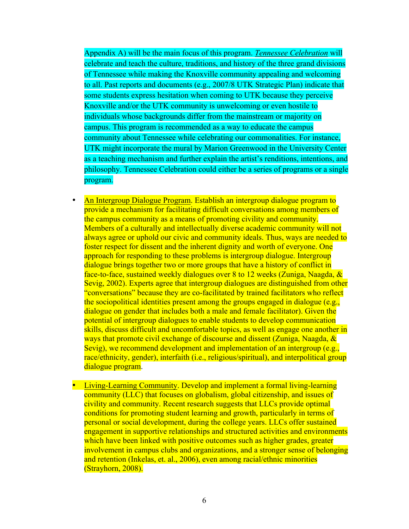Appendix A) will be the main focus of this program. *Tennessee Celebration* will celebrate and teach the culture, traditions, and history of the three grand divisions of Tennessee while making the Knoxville community appealing and welcoming to all. Past reports and documents (e.g., 2007/8 UTK Strategic Plan) indicate that some students express hesitation when coming to UTK because they perceive Knoxville and/or the UTK community is unwelcoming or even hostile to individuals whose backgrounds differ from the mainstream or majority on campus. This program is recommended as a way to educate the campus community about Tennessee while celebrating our commonalities. For instance, UTK might incorporate the mural by Marion Greenwood in the University Center as a teaching mechanism and further explain the artist's renditions, intentions, and philosophy. Tennessee Celebration could either be a series of programs or a single program.

- An Intergroup Dialogue Program. Establish an intergroup dialogue program to provide a mechanism for facilitating difficult conversations among members of the campus community as a means of promoting civility and community. Members of a culturally and intellectually diverse academic community will not always agree or uphold our civic and community ideals. Thus, ways are needed to foster respect for dissent and the inherent dignity and worth of everyone. One approach for responding to these problems is intergroup dialogue. Intergroup dialogue brings together two or more groups that have a history of conflict in face-to-face, sustained weekly dialogues over 8 to 12 weeks (Zuniga, Naagda, & Sevig, 2002). Experts agree that intergroup dialogues are distinguished from other "conversations" because they are co-facilitated by trained facilitators who reflect the sociopolitical identities present among the groups engaged in dialogue (e.g., dialogue on gender that includes both a male and female facilitator). Given the potential of intergroup dialogues to enable students to develop communication skills, discuss difficult and uncomfortable topics, as well as engage one another in ways that promote civil exchange of discourse and dissent (Zuniga, Naagda, & Sevig), we recommend development and implementation of an intergroup (e.g., race/ethnicity, gender), interfaith (i.e., religious/spiritual), and interpolitical group dialogue program.
- Living-Learning Community. Develop and implement a formal living-learning community (LLC) that focuses on globalism, global citizenship, and issues of civility and community. Recent research suggests that LLCs provide optimal conditions for promoting student learning and growth, particularly in terms of personal or social development, during the college years. LLCs offer sustained engagement in supportive relationships and structured activities and environments which have been linked with positive outcomes such as higher grades, greater involvement in campus clubs and organizations, and a stronger sense of belonging and retention (Inkelas, et. al., 2006), even among racial/ethnic minorities (Strayhorn, 2008).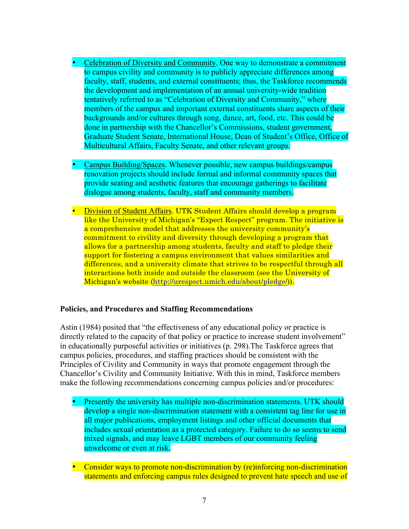- Celebration of Diversity and Community. One way to demonstrate a commitment to campus civility and community is to publicly appreciate differences among faculty, staff, students, and external constituents; thus, the Taskforce recommends the development and implementation of an annual university-wide tradition tentatively referred to as "Celebration of Diversity and Community," where members of the campus and important external constituents share aspects of their backgrounds and/or cultures through song, dance, art, food, etc. This could be done in partnership with the Chancellor's Commissions, student government, Graduate Student Senate, International House, Dean of Student's Office, Office of Multicultural Affairs, Faculty Senate, and other relevant groups.
- Campus Building/Spaces. Whenever possible, new campus buildings/campus renovation projects should include formal and informal community spaces that provide seating and aesthetic features that encourage gatherings to facilitate dialogue among students, faculty, staff and community members.
- Division of Student Affairs. UTK Student Affairs should develop a program like the University of Michigan's "Expect Respect" program. The initiative is a comprehensive model that addresses the university community's commitment to civility and diversity through developing a program that allows for a partnership among students, faculty and staff to pledge their support for fostering a campus environment that values similarities and differences, and a university climate that strives to be respectful through all interactions both inside and outside the classroom (see the University of Michigan's website (http://urespect.umich.edu/about/pledge/)).

#### **Policies, and Procedures and Staffing Recommendations**

Astin (1984) posited that "the effectiveness of any educational policy or practice is directly related to the capacity of that policy or practice to increase student involvement" in educationally purposeful activities or initiatives (p. 298).The Taskforce agrees that campus policies, procedures, and staffing practices should be consistent with the Principles of Civility and Community in ways that promote engagement through the Chancellor's Civility and Community Initiative. With this in mind, Taskforce members make the following recommendations concerning campus policies and/or procedures:

- Presently the university has multiple non-discrimination statements. UTK should develop a single non-discrimination statement with a consistent tag line for use in all major publications, employment listings and other official documents that includes sexual orientation as a protected category. Failure to do so seems to send mixed signals, and may leave LGBT members of our community feeling unwelcome or even at risk.
- Consider ways to promote non-discrimination by (re)inforcing non-discrimination statements and enforcing campus rules designed to prevent hate speech and use of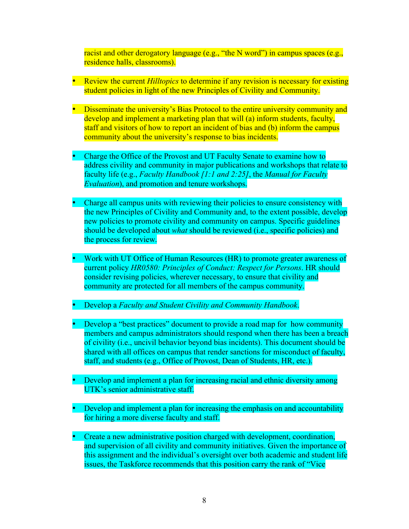racist and other derogatory language (e.g., "the N word") in campus spaces (e.g., residence halls, classrooms).

- Review the current *Hilltopics* to determine if any revision is necessary for existing student policies in light of the new Principles of Civility and Community.
- Disseminate the university's Bias Protocol to the entire university community and develop and implement a marketing plan that will (a) inform students, faculty, staff and visitors of how to report an incident of bias and (b) inform the campus community about the university's response to bias incidents.
- Charge the Office of the Provost and UT Faculty Senate to examine how to address civility and community in major publications and workshops that relate to faculty life (e.g., *Faculty Handbook [1:1 and 2:25]*, the *Manual for Faculty Evaluation*), and promotion and tenure workshops.
- Charge all campus units with reviewing their policies to ensure consistency with the new Principles of Civility and Community and, to the extent possible, develop new policies to promote civility and community on campus. Specific guidelines should be developed about *what* should be reviewed (i.e., specific policies) and the process for review.
- Work with UT Office of Human Resources (HR) to promote greater awareness of current policy *HR0580: Principles of Conduct: Respect for Persons*. HR should consider revising policies, wherever necessary, to ensure that civility and community are protected for all members of the campus community.
- Develop a *Faculty and Student Civility and Community Handbook*.
- Develop a "best practices" document to provide a road map for how community members and campus administrators should respond when there has been a breach of civility (i.e., uncivil behavior beyond bias incidents). This document should be shared with all offices on campus that render sanctions for misconduct of faculty, staff, and students (e.g., Office of Provost, Dean of Students, HR, etc.).
- Develop and implement a plan for increasing racial and ethnic diversity among UTK's senior administrative staff.
- Develop and implement a plan for increasing the emphasis on and accountability for hiring a more diverse faculty and staff.
- Create a new administrative position charged with development, coordination, and supervision of all civility and community initiatives. Given the importance of this assignment and the individual's oversight over both academic and student life issues, the Taskforce recommends that this position carry the rank of "Vice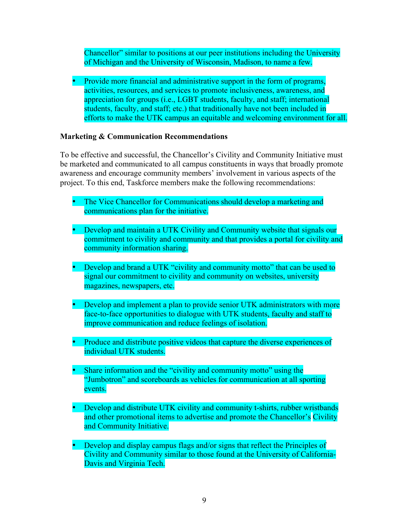Chancellor" similar to positions at our peer institutions including the University of Michigan and the University of Wisconsin, Madison, to name a few.

• Provide more financial and administrative support in the form of programs, activities, resources, and services to promote inclusiveness, awareness, and appreciation for groups (i.e., LGBT students, faculty, and staff; international students, faculty, and staff; etc.) that traditionally have not been included in efforts to make the UTK campus an equitable and welcoming environment for all.

#### **Marketing & Communication Recommendations**

To be effective and successful, the Chancellor's Civility and Community Initiative must be marketed and communicated to all campus constituents in ways that broadly promote awareness and encourage community members' involvement in various aspects of the project. To this end, Taskforce members make the following recommendations:

- The Vice Chancellor for Communications should develop a marketing and communications plan for the initiative.
- Develop and maintain a UTK Civility and Community website that signals our commitment to civility and community and that provides a portal for civility and community information sharing.
- Develop and brand a UTK "civility and community motto" that can be used to signal our commitment to civility and community on websites, university magazines, newspapers, etc.
- Develop and implement a plan to provide senior UTK administrators with more face-to-face opportunities to dialogue with UTK students, faculty and staff to improve communication and reduce feelings of isolation.
- Produce and distribute positive videos that capture the diverse experiences of individual UTK students.
- Share information and the "civility and community motto" using the "Jumbotron" and scoreboards as vehicles for communication at all sporting events.
- Develop and distribute UTK civility and community t-shirts, rubber wristbands and other promotional items to advertise and promote the Chancellor's Civility and Community Initiative.
- Develop and display campus flags and/or signs that reflect the Principles of Civility and Community similar to those found at the University of California-Davis and Virginia Tech.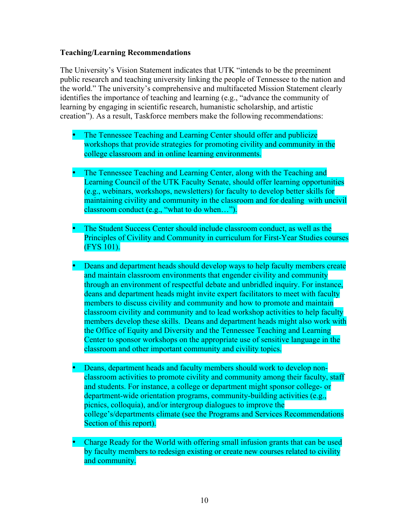#### **Teaching/Learning Recommendations**

The University's Vision Statement indicates that UTK "intends to be the preeminent public research and teaching university linking the people of Tennessee to the nation and the world." The university's comprehensive and multifaceted Mission Statement clearly identifies the importance of teaching and learning (e.g., "advance the community of learning by engaging in scientific research, humanistic scholarship, and artistic creation"). As a result, Taskforce members make the following recommendations:

- The Tennessee Teaching and Learning Center should offer and publicize workshops that provide strategies for promoting civility and community in the college classroom and in online learning environments.
- The Tennessee Teaching and Learning Center, along with the Teaching and Learning Council of the UTK Faculty Senate, should offer learning opportunities (e.g., webinars, workshops, newsletters) for faculty to develop better skills for maintaining civility and community in the classroom and for dealing with uncivil classroom conduct (e.g., "what to do when…").
- The Student Success Center should include classroom conduct, as well as the Principles of Civility and Community in curriculum for First-Year Studies courses (FYS 101).
- Deans and department heads should develop ways to help faculty members create and maintain classroom environments that engender civility and community through an environment of respectful debate and unbridled inquiry. For instance, deans and department heads might invite expert facilitators to meet with faculty members to discuss civility and community and how to promote and maintain classroom civility and community and to lead workshop activities to help faculty members develop these skills. Deans and department heads might also work with the Office of Equity and Diversity and the Tennessee Teaching and Learning Center to sponsor workshops on the appropriate use of sensitive language in the classroom and other important community and civility topics.
- Deans, department heads and faculty members should work to develop nonclassroom activities to promote civility and community among their faculty, staff and students. For instance, a college or department might sponsor college- or department-wide orientation programs, community-building activities (e.g., picnics, colloquia), and/or intergroup dialogues to improve the college's/departments climate (see the Programs and Services Recommendations Section of this report).
- Charge Ready for the World with offering small infusion grants that can be used by faculty members to redesign existing or create new courses related to civility and community.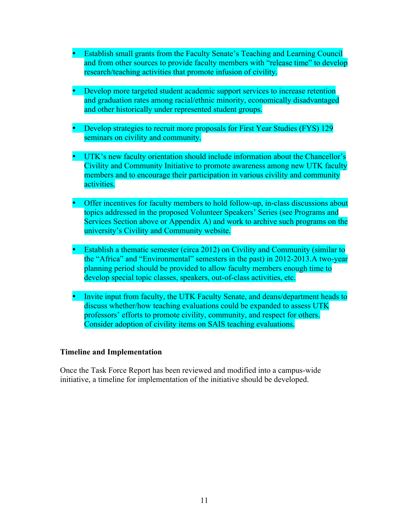- Establish small grants from the Faculty Senate's Teaching and Learning Council and from other sources to provide faculty members with "release time" to develop research/teaching activities that promote infusion of civility.
- Develop more targeted student academic support services to increase retention and graduation rates among racial/ethnic minority, economically disadvantaged and other historically under represented student groups.
- Develop strategies to recruit more proposals for First Year Studies (FYS) 129 seminars on civility and community.
- UTK's new faculty orientation should include information about the Chancellor's Civility and Community Initiative to promote awareness among new UTK faculty members and to encourage their participation in various civility and community activities.
- Offer incentives for faculty members to hold follow-up, in-class discussions about topics addressed in the proposed Volunteer Speakers' Series (see Programs and Services Section above or Appendix A) and work to archive such programs on the university's Civility and Community website.
- Establish a thematic semester (circa 2012) on Civility and Community (similar to the "Africa" and "Environmental" semesters in the past) in 2012-2013.A two-year planning period should be provided to allow faculty members enough time to develop special topic classes, speakers, out-of-class activities, etc.
- Invite input from faculty, the UTK Faculty Senate, and deans/department heads to discuss whether/how teaching evaluations could be expanded to assess UTK professors' efforts to promote civility, community, and respect for others. Consider adoption of civility items on SAIS teaching evaluations.

#### **Timeline and Implementation**

Once the Task Force Report has been reviewed and modified into a campus-wide initiative, a timeline for implementation of the initiative should be developed.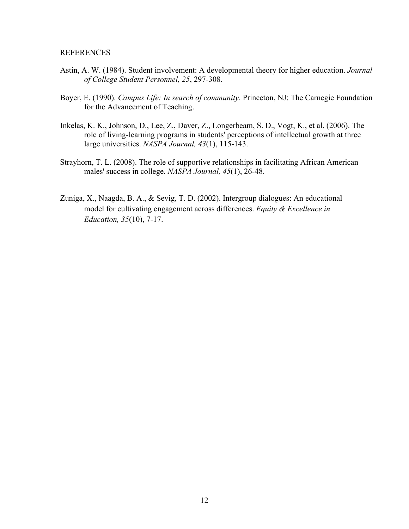#### **REFERENCES**

- Astin, A. W. (1984). Student involvement: A developmental theory for higher education. *Journal of College Student Personnel, 25*, 297-308.
- Boyer, E. (1990). *Campus Life: In search of community*. Princeton, NJ: The Carnegie Foundation for the Advancement of Teaching.
- Inkelas, K. K., Johnson, D., Lee, Z., Daver, Z., Longerbeam, S. D., Vogt, K., et al. (2006). The role of living-learning programs in students' perceptions of intellectual growth at three large universities. *NASPA Journal, 43*(1), 115-143.
- Strayhorn, T. L. (2008). The role of supportive relationships in facilitating African American males' success in college. *NASPA Journal, 45*(1), 26-48.
- Zuniga, X., Naagda, B. A., & Sevig, T. D. (2002). Intergroup dialogues: An educational model for cultivating engagement across differences. *Equity & Excellence in Education, 35*(10), 7-17.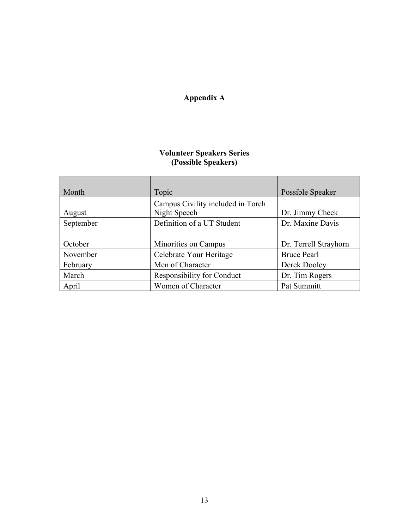# **Appendix A**

#### **Volunteer Speakers Series (Possible Speakers)**

| Month     | Topic                                             | Possible Speaker      |
|-----------|---------------------------------------------------|-----------------------|
| August    | Campus Civility included in Torch<br>Night Speech | Dr. Jimmy Cheek       |
| September | Definition of a UT Student                        | Dr. Maxine Davis      |
|           |                                                   |                       |
| October   | Minorities on Campus                              | Dr. Terrell Strayhorn |
| November  | Celebrate Your Heritage                           | <b>Bruce Pearl</b>    |
| February  | Men of Character                                  | Derek Dooley          |
| March     | <b>Responsibility for Conduct</b>                 | Dr. Tim Rogers        |
| April     | Women of Character                                | Pat Summitt           |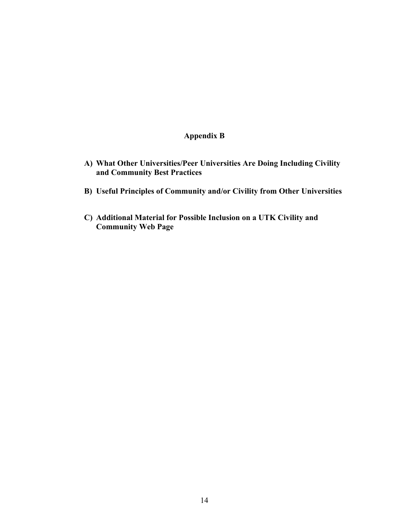# **Appendix B**

- **A) What Other Universities/Peer Universities Are Doing Including Civility and Community Best Practices**
- **B) Useful Principles of Community and/or Civility from Other Universities**
- **C) Additional Material for Possible Inclusion on a UTK Civility and Community Web Page**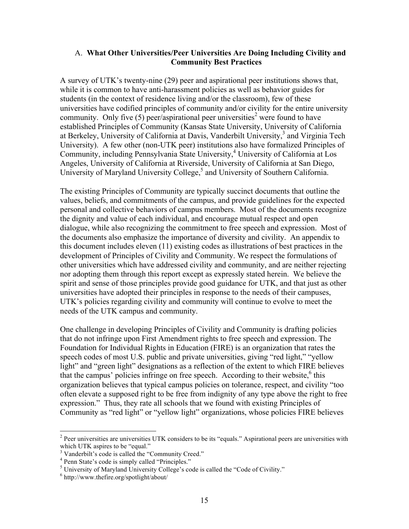### A. **What Other Universities/Peer Universities Are Doing Including Civility and Community Best Practices**

A survey of UTK's twenty-nine (29) peer and aspirational peer institutions shows that, while it is common to have anti-harassment policies as well as behavior guides for students (in the context of residence living and/or the classroom), few of these universities have codified principles of community and/or civility for the entire university community. Only five (5) peer/aspirational peer universities<sup>2</sup> were found to have established Principles of Community (Kansas State University, University of California at Berkeley, University of California at Davis, Vanderbilt University,<sup>3</sup> and Virginia Tech University). A few other (non-UTK peer) institutions also have formalized Principles of Community, including Pennsylvania State University,<sup>4</sup> University of California at Los Angeles, University of California at Riverside, University of California at San Diego, University of Maryland University College,<sup>5</sup> and University of Southern California.

The existing Principles of Community are typically succinct documents that outline the values, beliefs, and commitments of the campus, and provide guidelines for the expected personal and collective behaviors of campus members. Most of the documents recognize the dignity and value of each individual, and encourage mutual respect and open dialogue, while also recognizing the commitment to free speech and expression. Most of the documents also emphasize the importance of diversity and civility. An appendix to this document includes eleven (11) existing codes as illustrations of best practices in the development of Principles of Civility and Community. We respect the formulations of other universities which have addressed civility and community, and are neither rejecting nor adopting them through this report except as expressly stated herein. We believe the spirit and sense of those principles provide good guidance for UTK, and that just as other universities have adopted their principles in response to the needs of their campuses, UTK's policies regarding civility and community will continue to evolve to meet the needs of the UTK campus and community.

One challenge in developing Principles of Civility and Community is drafting policies that do not infringe upon First Amendment rights to free speech and expression. The Foundation for Individual Rights in Education (FIRE) is an organization that rates the speech codes of most U.S. public and private universities, giving "red light," "yellow light" and "green light" designations as a reflection of the extent to which FIRE believes that the campus' policies infringe on free speech. According to their website, $6$  this organization believes that typical campus policies on tolerance, respect, and civility "too often elevate a supposed right to be free from indignity of any type above the right to free expression." Thus, they rate all schools that we found with existing Principles of Community as "red light" or "yellow light" organizations, whose policies FIRE believes

<sup>&</sup>lt;sup>2</sup> Peer universities are universities UTK considers to be its "equals." Aspirational peers are universities with which UTK aspires to be "equal."

 $3$  Vanderbilt's code is called the "Community Creed."  $4$  Penn State's code is simply called "Principles."

 $\frac{1}{2}$  University of Maryland University College's code is called the "Code of Civility."

 $6$  http://www.thefire.org/spotlight/about/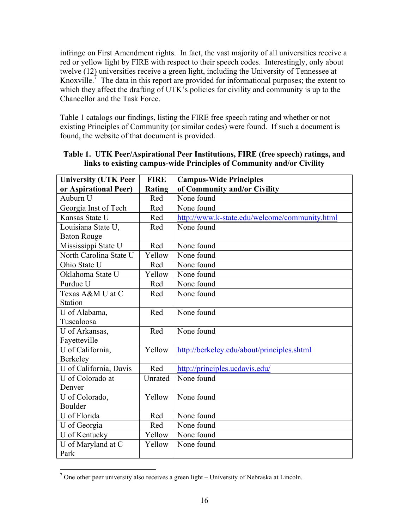infringe on First Amendment rights. In fact, the vast majority of all universities receive a red or yellow light by FIRE with respect to their speech codes. Interestingly, only about twelve (12) universities receive a green light, including the University of Tennessee at Knoxville.<sup>7</sup> The data in this report are provided for informational purposes; the extent to which they affect the drafting of UTK's policies for civility and community is up to the Chancellor and the Task Force.

Table 1 catalogs our findings, listing the FIRE free speech rating and whether or not existing Principles of Community (or similar codes) were found. If such a document is found, the website of that document is provided.

| <b>University (UTK Peer</b> | <b>FIRE</b>   | <b>Campus-Wide Principles</b>                 |
|-----------------------------|---------------|-----------------------------------------------|
| or Aspirational Peer)       | <b>Rating</b> | of Community and/or Civility                  |
| Auburn U                    | Red           | None found                                    |
| Georgia Inst of Tech        | Red           | None found                                    |
| Kansas State U              | Red           | http://www.k-state.edu/welcome/community.html |
| Louisiana State U,          | Red           | None found                                    |
| <b>Baton Rouge</b>          |               |                                               |
| Mississippi State U         | Red           | None found                                    |
| North Carolina State U      | Yellow        | None found                                    |
| Ohio State U                | Red           | None found                                    |
| Oklahoma State U            | Yellow        | None found                                    |
| Purdue U                    | Red           | None found                                    |
| Texas A&M U at C            | Red           | None found                                    |
| Station                     |               |                                               |
| U of Alabama,               | Red           | None found                                    |
| Tuscaloosa                  |               |                                               |
| U of Arkansas,              | Red           | None found                                    |
| Fayetteville                |               |                                               |
| U of California,            | Yellow        | http://berkeley.edu/about/principles.shtml    |
| <b>Berkeley</b>             |               |                                               |
| U of California, Davis      | Red           | http://principles.ucdavis.edu/                |
| U of Colorado at            | Unrated       | None found                                    |
| Denver                      |               |                                               |
| U of Colorado,              | Yellow        | None found                                    |
| Boulder                     |               |                                               |
| U of Florida                | Red           | None found                                    |
| U of Georgia                | Red           | None found                                    |
| U of Kentucky               | Yellow        | None found                                    |
| U of Maryland at C          | Yellow        | None found                                    |
| Park                        |               |                                               |

**Table 1. UTK Peer/Aspirational Peer Institutions, FIRE (free speech) ratings, and links to existing campus-wide Principles of Community and/or Civility**

 $<sup>7</sup>$  One other peer university also receives a green light – University of Nebraska at Lincoln.</sup>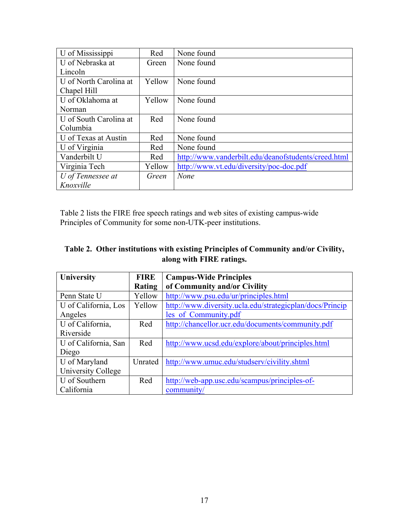| U of Mississippi       | Red    | None found                                          |
|------------------------|--------|-----------------------------------------------------|
| U of Nebraska at       | Green  | None found                                          |
| Lincoln                |        |                                                     |
| U of North Carolina at | Yellow | None found                                          |
| Chapel Hill            |        |                                                     |
| U of Oklahoma at       | Yellow | None found                                          |
| Norman                 |        |                                                     |
| U of South Carolina at | Red    | None found                                          |
| Columbia               |        |                                                     |
| U of Texas at Austin   | Red    | None found                                          |
| U of Virginia          | Red    | None found                                          |
| Vanderbilt U           | Red    | http://www.vanderbilt.edu/deanofstudents/creed.html |
| Virginia Tech          | Yellow | http://www.vt.edu/diversity/poc-doc.pdf             |
| U of Tennessee at      | Green  | None                                                |
| Knoxville              |        |                                                     |

Table 2 lists the FIRE free speech ratings and web sites of existing campus-wide Principles of Community for some non-UTK-peer institutions.

|                          | Table 2. Other institutions with existing Principles of Community and/or Civility, |  |
|--------------------------|------------------------------------------------------------------------------------|--|
| along with FIRE ratings. |                                                                                    |  |

| University           | <b>FIRE</b> | <b>Campus-Wide Principles</b>                            |
|----------------------|-------------|----------------------------------------------------------|
|                      | Rating      | of Community and/or Civility                             |
| Penn State U         | Yellow      | http://www.psu.edu/ur/principles.html                    |
| U of California, Los | Yellow      | http://www.diversity.ucla.edu/strategicplan/docs/Princip |
| Angeles              |             | les of Community.pdf                                     |
| U of California,     | Red         | http://chancellor.ucr.edu/documents/community.pdf        |
| Riverside            |             |                                                          |
| U of California, San | Red         | http://www.ucsd.edu/explore/about/principles.html        |
| Diego                |             |                                                          |
| U of Maryland        | Unrated     | http://www.umuc.edu/studserv/civility.shtml              |
| University College   |             |                                                          |
| U of Southern        | Red         | http://web-app.usc.edu/scampus/principles-of-            |
| California           |             | community/                                               |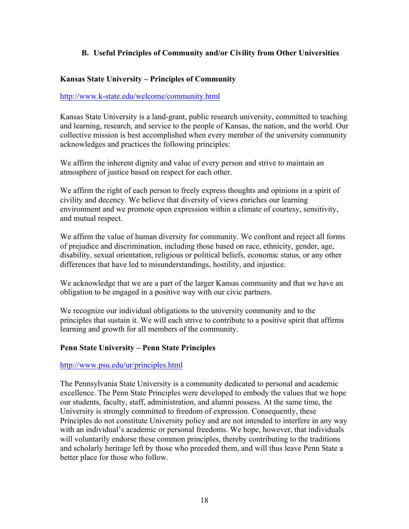# **B. Useful Principles of Community and/or Civility from Other Universities**

# **Kansas State University – Principles of Community**

#### http://www.k-state.edu/welcome/community.html

Kansas State University is a land-grant, public research university, committed to teaching and learning, research, and service to the people of Kansas, the nation, and the world. Our collective mission is best accomplished when every member of the university community acknowledges and practices the following principles:

We affirm the inherent dignity and value of every person and strive to maintain an atmosphere of justice based on respect for each other.

We affirm the right of each person to freely express thoughts and opinions in a spirit of civility and decency. We believe that diversity of views enriches our learning environment and we promote open expression within a climate of courtesy, sensitivity, and mutual respect.

We affirm the value of human diversity for community. We confront and reject all forms of prejudice and discrimination, including those based on race, ethnicity, gender, age, disability, sexual orientation, religious or political beliefs, economic status, or any other differences that have led to misunderstandings, hostility, and injustice.

We acknowledge that we are a part of the larger Kansas community and that we have an obligation to be engaged in a positive way with our civic partners.

We recognize our individual obligations to the university community and to the principles that sustain it. We will each strive to contribute to a positive spirit that affirms learning and growth for all members of the community.

# **Penn State University – Penn State Principles**

#### http://www.psu.edu/ur/principles.html

The Pennsylvania State University is a community dedicated to personal and academic excellence. The Penn State Principles were developed to embody the values that we hope our students, faculty, staff, administration, and alumni possess. At the same time, the University is strongly committed to freedom of expression. Consequently, these Principles do not constitute University policy and are not intended to interfere in any way with an individual's academic or personal freedoms. We hope, however, that individuals will voluntarily endorse these common principles, thereby contributing to the traditions and scholarly heritage left by those who preceded them, and will thus leave Penn State a better place for those who follow.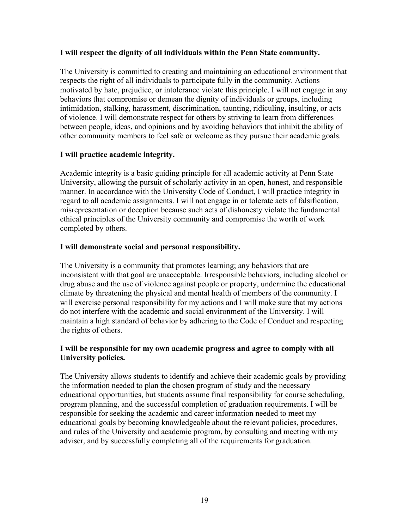## **I will respect the dignity of all individuals within the Penn State community.**

The University is committed to creating and maintaining an educational environment that respects the right of all individuals to participate fully in the community. Actions motivated by hate, prejudice, or intolerance violate this principle. I will not engage in any behaviors that compromise or demean the dignity of individuals or groups, including intimidation, stalking, harassment, discrimination, taunting, ridiculing, insulting, or acts of violence. I will demonstrate respect for others by striving to learn from differences between people, ideas, and opinions and by avoiding behaviors that inhibit the ability of other community members to feel safe or welcome as they pursue their academic goals.

# **I will practice academic integrity.**

Academic integrity is a basic guiding principle for all academic activity at Penn State University, allowing the pursuit of scholarly activity in an open, honest, and responsible manner. In accordance with the University Code of Conduct, I will practice integrity in regard to all academic assignments. I will not engage in or tolerate acts of falsification, misrepresentation or deception because such acts of dishonesty violate the fundamental ethical principles of the University community and compromise the worth of work completed by others.

## **I will demonstrate social and personal responsibility.**

The University is a community that promotes learning; any behaviors that are inconsistent with that goal are unacceptable. Irresponsible behaviors, including alcohol or drug abuse and the use of violence against people or property, undermine the educational climate by threatening the physical and mental health of members of the community. I will exercise personal responsibility for my actions and I will make sure that my actions do not interfere with the academic and social environment of the University. I will maintain a high standard of behavior by adhering to the Code of Conduct and respecting the rights of others.

## **I will be responsible for my own academic progress and agree to comply with all University policies.**

The University allows students to identify and achieve their academic goals by providing the information needed to plan the chosen program of study and the necessary educational opportunities, but students assume final responsibility for course scheduling, program planning, and the successful completion of graduation requirements. I will be responsible for seeking the academic and career information needed to meet my educational goals by becoming knowledgeable about the relevant policies, procedures, and rules of the University and academic program, by consulting and meeting with my adviser, and by successfully completing all of the requirements for graduation.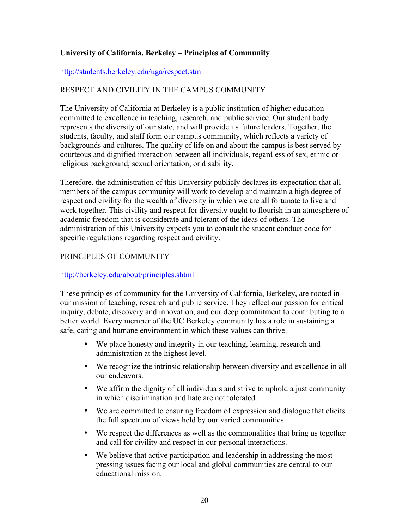# **University of California, Berkeley – Principles of Community**

#### http://students.berkeley.edu/uga/respect.stm

# RESPECT AND CIVILITY IN THE CAMPUS COMMUNITY

The University of California at Berkeley is a public institution of higher education committed to excellence in teaching, research, and public service. Our student body represents the diversity of our state, and will provide its future leaders. Together, the students, faculty, and staff form our campus community, which reflects a variety of backgrounds and cultures. The quality of life on and about the campus is best served by courteous and dignified interaction between all individuals, regardless of sex, ethnic or religious background, sexual orientation, or disability.

Therefore, the administration of this University publicly declares its expectation that all members of the campus community will work to develop and maintain a high degree of respect and civility for the wealth of diversity in which we are all fortunate to live and work together. This civility and respect for diversity ought to flourish in an atmosphere of academic freedom that is considerate and tolerant of the ideas of others. The administration of this University expects you to consult the student conduct code for specific regulations regarding respect and civility.

#### PRINCIPLES OF COMMUNITY

#### http://berkeley.edu/about/principles.shtml

These principles of community for the University of California, Berkeley, are rooted in our mission of teaching, research and public service. They reflect our passion for critical inquiry, debate, discovery and innovation, and our deep commitment to contributing to a better world. Every member of the UC Berkeley community has a role in sustaining a safe, caring and humane environment in which these values can thrive.

- We place honesty and integrity in our teaching, learning, research and administration at the highest level.
- We recognize the intrinsic relationship between diversity and excellence in all our endeavors.
- We affirm the dignity of all individuals and strive to uphold a just community in which discrimination and hate are not tolerated.
- We are committed to ensuring freedom of expression and dialogue that elicits the full spectrum of views held by our varied communities.
- We respect the differences as well as the commonalities that bring us together and call for civility and respect in our personal interactions.
- We believe that active participation and leadership in addressing the most pressing issues facing our local and global communities are central to our educational mission.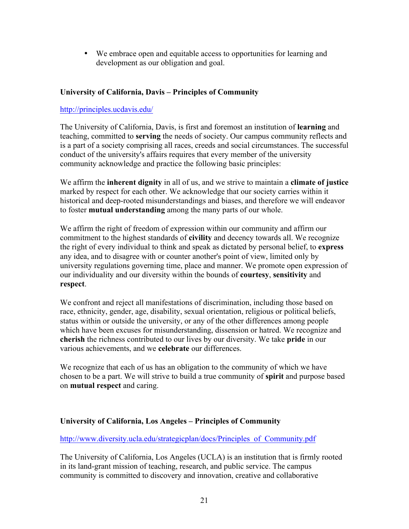• We embrace open and equitable access to opportunities for learning and development as our obligation and goal.

# **University of California, Davis – Principles of Community**

## http://principles.ucdavis.edu/

The University of California, Davis, is first and foremost an institution of **learning** and teaching, committed to **serving** the needs of society. Our campus community reflects and is a part of a society comprising all races, creeds and social circumstances. The successful conduct of the university's affairs requires that every member of the university community acknowledge and practice the following basic principles:

We affirm the **inherent dignity** in all of us, and we strive to maintain a **climate of justice** marked by respect for each other. We acknowledge that our society carries within it historical and deep-rooted misunderstandings and biases, and therefore we will endeavor to foster **mutual understanding** among the many parts of our whole.

We affirm the right of freedom of expression within our community and affirm our commitment to the highest standards of **civility** and decency towards all. We recognize the right of every individual to think and speak as dictated by personal belief, to **express** any idea, and to disagree with or counter another's point of view, limited only by university regulations governing time, place and manner. We promote open expression of our individuality and our diversity within the bounds of **courtesy**, **sensitivity** and **respect**.

We confront and reject all manifestations of discrimination, including those based on race, ethnicity, gender, age, disability, sexual orientation, religious or political beliefs, status within or outside the university, or any of the other differences among people which have been excuses for misunderstanding, dissension or hatred. We recognize and **cherish** the richness contributed to our lives by our diversity. We take **pride** in our various achievements, and we **celebrate** our differences.

We recognize that each of us has an obligation to the community of which we have chosen to be a part. We will strive to build a true community of **spirit** and purpose based on **mutual respect** and caring.

# **University of California, Los Angeles – Principles of Community**

#### http://www.diversity.ucla.edu/strategicplan/docs/Principles\_of\_Community.pdf

The University of California, Los Angeles (UCLA) is an institution that is firmly rooted in its land-grant mission of teaching, research, and public service. The campus community is committed to discovery and innovation, creative and collaborative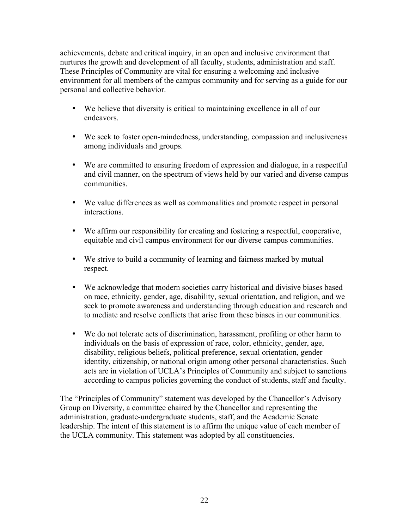achievements, debate and critical inquiry, in an open and inclusive environment that nurtures the growth and development of all faculty, students, administration and staff. These Principles of Community are vital for ensuring a welcoming and inclusive environment for all members of the campus community and for serving as a guide for our personal and collective behavior.

- We believe that diversity is critical to maintaining excellence in all of our endeavors.
- We seek to foster open-mindedness, understanding, compassion and inclusiveness among individuals and groups.
- We are committed to ensuring freedom of expression and dialogue, in a respectful and civil manner, on the spectrum of views held by our varied and diverse campus communities.
- We value differences as well as commonalities and promote respect in personal interactions.
- We affirm our responsibility for creating and fostering a respectful, cooperative, equitable and civil campus environment for our diverse campus communities.
- We strive to build a community of learning and fairness marked by mutual respect.
- We acknowledge that modern societies carry historical and divisive biases based on race, ethnicity, gender, age, disability, sexual orientation, and religion, and we seek to promote awareness and understanding through education and research and to mediate and resolve conflicts that arise from these biases in our communities.
- We do not tolerate acts of discrimination, harassment, profiling or other harm to individuals on the basis of expression of race, color, ethnicity, gender, age, disability, religious beliefs, political preference, sexual orientation, gender identity, citizenship, or national origin among other personal characteristics. Such acts are in violation of UCLA's Principles of Community and subject to sanctions according to campus policies governing the conduct of students, staff and faculty.

The "Principles of Community" statement was developed by the Chancellor's Advisory Group on Diversity, a committee chaired by the Chancellor and representing the administration, graduate-undergraduate students, staff, and the Academic Senate leadership. The intent of this statement is to affirm the unique value of each member of the UCLA community. This statement was adopted by all constituencies.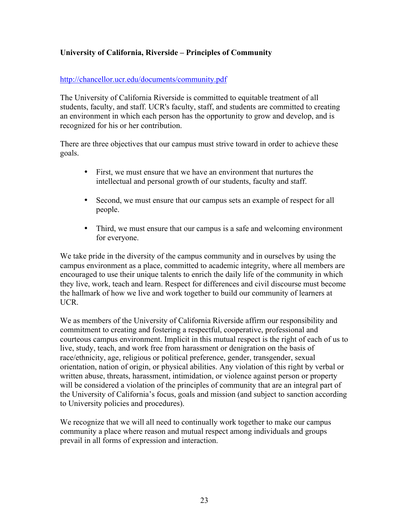# **University of California, Riverside – Principles of Community**

## http://chancellor.ucr.edu/documents/community.pdf

The University of California Riverside is committed to equitable treatment of all students, faculty, and staff. UCR's faculty, staff, and students are committed to creating an environment in which each person has the opportunity to grow and develop, and is recognized for his or her contribution.

There are three objectives that our campus must strive toward in order to achieve these goals.

- First, we must ensure that we have an environment that nurtures the intellectual and personal growth of our students, faculty and staff.
- Second, we must ensure that our campus sets an example of respect for all people.
- Third, we must ensure that our campus is a safe and welcoming environment for everyone.

We take pride in the diversity of the campus community and in ourselves by using the campus environment as a place, committed to academic integrity, where all members are encouraged to use their unique talents to enrich the daily life of the community in which they live, work, teach and learn. Respect for differences and civil discourse must become the hallmark of how we live and work together to build our community of learners at UCR.

We as members of the University of California Riverside affirm our responsibility and commitment to creating and fostering a respectful, cooperative, professional and courteous campus environment. Implicit in this mutual respect is the right of each of us to live, study, teach, and work free from harassment or denigration on the basis of race/ethnicity, age, religious or political preference, gender, transgender, sexual orientation, nation of origin, or physical abilities. Any violation of this right by verbal or written abuse, threats, harassment, intimidation, or violence against person or property will be considered a violation of the principles of community that are an integral part of the University of California's focus, goals and mission (and subject to sanction according to University policies and procedures).

We recognize that we will all need to continually work together to make our campus community a place where reason and mutual respect among individuals and groups prevail in all forms of expression and interaction.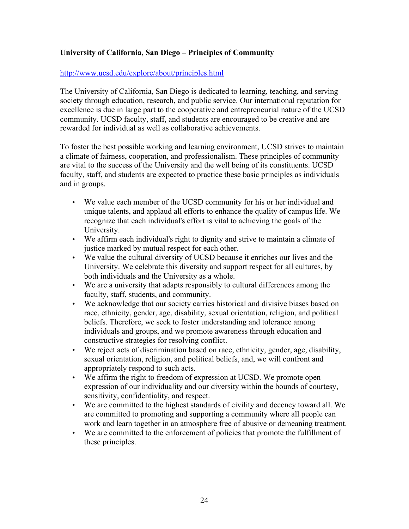# **University of California, San Diego – Principles of Community**

## http://www.ucsd.edu/explore/about/principles.html

The University of California, San Diego is dedicated to learning, teaching, and serving society through education, research, and public service. Our international reputation for excellence is due in large part to the cooperative and entrepreneurial nature of the UCSD community. UCSD faculty, staff, and students are encouraged to be creative and are rewarded for individual as well as collaborative achievements.

To foster the best possible working and learning environment, UCSD strives to maintain a climate of fairness, cooperation, and professionalism. These principles of community are vital to the success of the University and the well being of its constituents. UCSD faculty, staff, and students are expected to practice these basic principles as individuals and in groups.

- We value each member of the UCSD community for his or her individual and unique talents, and applaud all efforts to enhance the quality of campus life. We recognize that each individual's effort is vital to achieving the goals of the University.
- We affirm each individual's right to dignity and strive to maintain a climate of justice marked by mutual respect for each other.
- We value the cultural diversity of UCSD because it enriches our lives and the University. We celebrate this diversity and support respect for all cultures, by both individuals and the University as a whole.
- We are a university that adapts responsibly to cultural differences among the faculty, staff, students, and community.
- We acknowledge that our society carries historical and divisive biases based on race, ethnicity, gender, age, disability, sexual orientation, religion, and political beliefs. Therefore, we seek to foster understanding and tolerance among individuals and groups, and we promote awareness through education and constructive strategies for resolving conflict.
- We reject acts of discrimination based on race, ethnicity, gender, age, disability, sexual orientation, religion, and political beliefs, and, we will confront and appropriately respond to such acts.
- We affirm the right to freedom of expression at UCSD. We promote open expression of our individuality and our diversity within the bounds of courtesy, sensitivity, confidentiality, and respect.
- We are committed to the highest standards of civility and decency toward all. We are committed to promoting and supporting a community where all people can work and learn together in an atmosphere free of abusive or demeaning treatment.
- We are committed to the enforcement of policies that promote the fulfillment of these principles.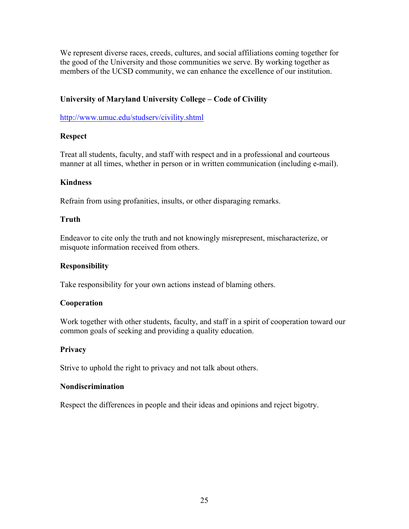We represent diverse races, creeds, cultures, and social affiliations coming together for the good of the University and those communities we serve. By working together as members of the UCSD community, we can enhance the excellence of our institution.

# **University of Maryland University College – Code of Civility**

http://www.umuc.edu/studserv/civility.shtml

## **Respect**

Treat all students, faculty, and staff with respect and in a professional and courteous manner at all times, whether in person or in written communication (including e-mail).

## **Kindness**

Refrain from using profanities, insults, or other disparaging remarks.

## **Truth**

Endeavor to cite only the truth and not knowingly misrepresent, mischaracterize, or misquote information received from others.

#### **Responsibility**

Take responsibility for your own actions instead of blaming others.

# **Cooperation**

Work together with other students, faculty, and staff in a spirit of cooperation toward our common goals of seeking and providing a quality education.

# **Privacy**

Strive to uphold the right to privacy and not talk about others.

#### **Nondiscrimination**

Respect the differences in people and their ideas and opinions and reject bigotry.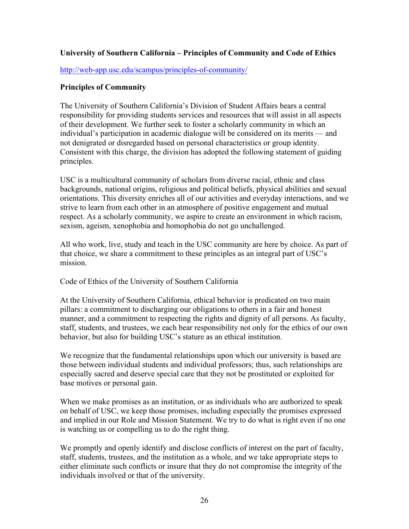## **University of Southern California – Principles of Community and Code of Ethics**

#### http://web-app.usc.edu/scampus/principles-of-community/

#### **Principles of Community**

The University of Southern California's Division of Student Affairs bears a central responsibility for providing students services and resources that will assist in all aspects of their development. We further seek to foster a scholarly community in which an individual's participation in academic dialogue will be considered on its merits — and not denigrated or disregarded based on personal characteristics or group identity. Consistent with this charge, the division has adopted the following statement of guiding principles.

USC is a multicultural community of scholars from diverse racial, ethnic and class backgrounds, national origins, religious and political beliefs, physical abilities and sexual orientations. This diversity enriches all of our activities and everyday interactions, and we strive to learn from each other in an atmosphere of positive engagement and mutual respect. As a scholarly community, we aspire to create an environment in which racism, sexism, ageism, xenophobia and homophobia do not go unchallenged.

All who work, live, study and teach in the USC community are here by choice. As part of that choice, we share a commitment to these principles as an integral part of USC's mission.

Code of Ethics of the University of Southern California

At the University of Southern California, ethical behavior is predicated on two main pillars: a commitment to discharging our obligations to others in a fair and honest manner, and a commitment to respecting the rights and dignity of all persons. As faculty, staff, students, and trustees, we each bear responsibility not only for the ethics of our own behavior, but also for building USC's stature as an ethical institution.

We recognize that the fundamental relationships upon which our university is based are those between individual students and individual professors; thus, such relationships are especially sacred and deserve special care that they not be prostituted or exploited for base motives or personal gain.

When we make promises as an institution, or as individuals who are authorized to speak on behalf of USC, we keep those promises, including especially the promises expressed and implied in our Role and Mission Statement. We try to do what is right even if no one is watching us or compelling us to do the right thing.

We promptly and openly identify and disclose conflicts of interest on the part of faculty, staff, students, trustees, and the institution as a whole, and we take appropriate steps to either eliminate such conflicts or insure that they do not compromise the integrity of the individuals involved or that of the university.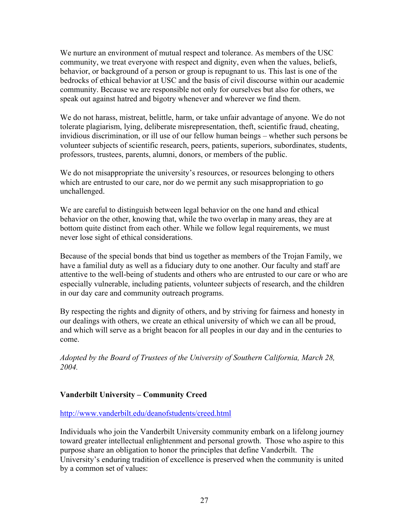We nurture an environment of mutual respect and tolerance. As members of the USC community, we treat everyone with respect and dignity, even when the values, beliefs, behavior, or background of a person or group is repugnant to us. This last is one of the bedrocks of ethical behavior at USC and the basis of civil discourse within our academic community. Because we are responsible not only for ourselves but also for others, we speak out against hatred and bigotry whenever and wherever we find them.

We do not harass, mistreat, belittle, harm, or take unfair advantage of anyone. We do not tolerate plagiarism, lying, deliberate misrepresentation, theft, scientific fraud, cheating, invidious discrimination, or ill use of our fellow human beings – whether such persons be volunteer subjects of scientific research, peers, patients, superiors, subordinates, students, professors, trustees, parents, alumni, donors, or members of the public.

We do not misappropriate the university's resources, or resources belonging to others which are entrusted to our care, nor do we permit any such misappropriation to go unchallenged.

We are careful to distinguish between legal behavior on the one hand and ethical behavior on the other, knowing that, while the two overlap in many areas, they are at bottom quite distinct from each other. While we follow legal requirements, we must never lose sight of ethical considerations.

Because of the special bonds that bind us together as members of the Trojan Family, we have a familial duty as well as a fiduciary duty to one another. Our faculty and staff are attentive to the well-being of students and others who are entrusted to our care or who are especially vulnerable, including patients, volunteer subjects of research, and the children in our day care and community outreach programs.

By respecting the rights and dignity of others, and by striving for fairness and honesty in our dealings with others, we create an ethical university of which we can all be proud, and which will serve as a bright beacon for all peoples in our day and in the centuries to come.

*Adopted by the Board of Trustees of the University of Southern California, March 28, 2004.*

# **Vanderbilt University – Community Creed**

http://www.vanderbilt.edu/deanofstudents/creed.html

Individuals who join the Vanderbilt University community embark on a lifelong journey toward greater intellectual enlightenment and personal growth. Those who aspire to this purpose share an obligation to honor the principles that define Vanderbilt. The University's enduring tradition of excellence is preserved when the community is united by a common set of values: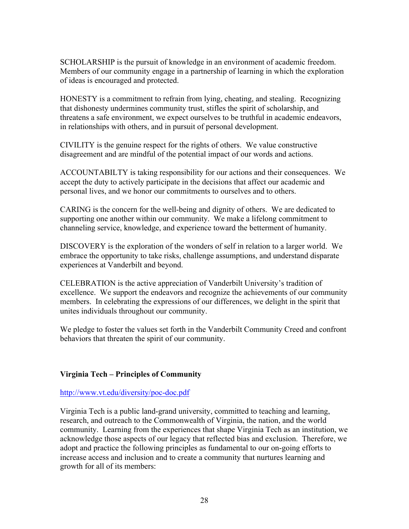SCHOLARSHIP is the pursuit of knowledge in an environment of academic freedom. Members of our community engage in a partnership of learning in which the exploration of ideas is encouraged and protected.

HONESTY is a commitment to refrain from lying, cheating, and stealing. Recognizing that dishonesty undermines community trust, stifles the spirit of scholarship, and threatens a safe environment, we expect ourselves to be truthful in academic endeavors, in relationships with others, and in pursuit of personal development.

CIVILITY is the genuine respect for the rights of others. We value constructive disagreement and are mindful of the potential impact of our words and actions.

ACCOUNTABILTY is taking responsibility for our actions and their consequences. We accept the duty to actively participate in the decisions that affect our academic and personal lives, and we honor our commitments to ourselves and to others.

CARING is the concern for the well-being and dignity of others. We are dedicated to supporting one another within our community. We make a lifelong commitment to channeling service, knowledge, and experience toward the betterment of humanity.

DISCOVERY is the exploration of the wonders of self in relation to a larger world. We embrace the opportunity to take risks, challenge assumptions, and understand disparate experiences at Vanderbilt and beyond.

CELEBRATION is the active appreciation of Vanderbilt University's tradition of excellence. We support the endeavors and recognize the achievements of our community members. In celebrating the expressions of our differences, we delight in the spirit that unites individuals throughout our community.

We pledge to foster the values set forth in the Vanderbilt Community Creed and confront behaviors that threaten the spirit of our community.

# **Virginia Tech – Principles of Community**

http://www.vt.edu/diversity/poc-doc.pdf

Virginia Tech is a public land-grand university, committed to teaching and learning, research, and outreach to the Commonwealth of Virginia, the nation, and the world community. Learning from the experiences that shape Virginia Tech as an institution, we acknowledge those aspects of our legacy that reflected bias and exclusion. Therefore, we adopt and practice the following principles as fundamental to our on-going efforts to increase access and inclusion and to create a community that nurtures learning and growth for all of its members: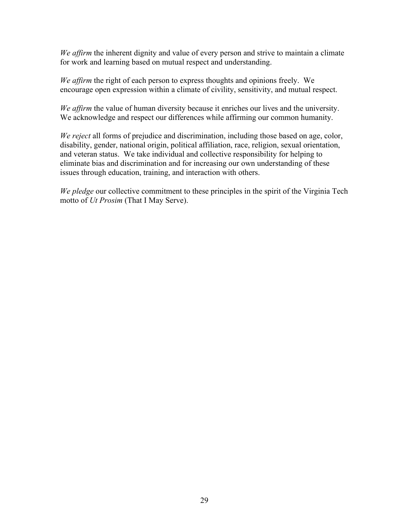*We affirm* the inherent dignity and value of every person and strive to maintain a climate for work and learning based on mutual respect and understanding.

*We affirm* the right of each person to express thoughts and opinions freely. We encourage open expression within a climate of civility, sensitivity, and mutual respect.

*We affirm* the value of human diversity because it enriches our lives and the university. We acknowledge and respect our differences while affirming our common humanity.

*We reject* all forms of prejudice and discrimination, including those based on age, color, disability, gender, national origin, political affiliation, race, religion, sexual orientation, and veteran status. We take individual and collective responsibility for helping to eliminate bias and discrimination and for increasing our own understanding of these issues through education, training, and interaction with others.

*We pledge* our collective commitment to these principles in the spirit of the Virginia Tech motto of *Ut Prosim* (That I May Serve).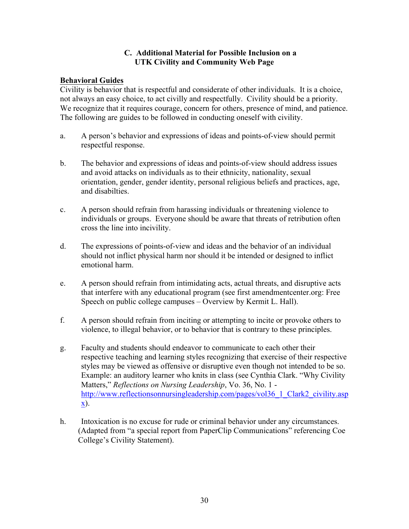# **C. Additional Material for Possible Inclusion on a UTK Civility and Community Web Page**

# **Behavioral Guides**

Civility is behavior that is respectful and considerate of other individuals. It is a choice, not always an easy choice, to act civilly and respectfully. Civility should be a priority. We recognize that it requires courage, concern for others, presence of mind, and patience. The following are guides to be followed in conducting oneself with civility.

- a. A person's behavior and expressions of ideas and points-of-view should permit respectful response.
- b. The behavior and expressions of ideas and points-of-view should address issues and avoid attacks on individuals as to their ethnicity, nationality, sexual orientation, gender, gender identity, personal religious beliefs and practices, age, and disabilties.
- c. A person should refrain from harassing individuals or threatening violence to individuals or groups. Everyone should be aware that threats of retribution often cross the line into incivility.
- d. The expressions of points-of-view and ideas and the behavior of an individual should not inflict physical harm nor should it be intended or designed to inflict emotional harm.
- e. A person should refrain from intimidating acts, actual threats, and disruptive acts that interfere with any educational program (see first amendmentcenter.org: Free Speech on public college campuses – Overview by Kermit L. Hall).
- f. A person should refrain from inciting or attempting to incite or provoke others to violence, to illegal behavior, or to behavior that is contrary to these principles.
- g. Faculty and students should endeavor to communicate to each other their respective teaching and learning styles recognizing that exercise of their respective styles may be viewed as offensive or disruptive even though not intended to be so. Example: an auditory learner who knits in class (see Cynthia Clark. "Why Civility Matters," *Reflections on Nursing Leadership*, Vo. 36, No. 1 http://www.reflectionsonnursingleadership.com/pages/vol36\_1\_Clark2\_civility.asp x).
- h. Intoxication is no excuse for rude or criminal behavior under any circumstances. (Adapted from "a special report from PaperClip Communications" referencing Coe College's Civility Statement).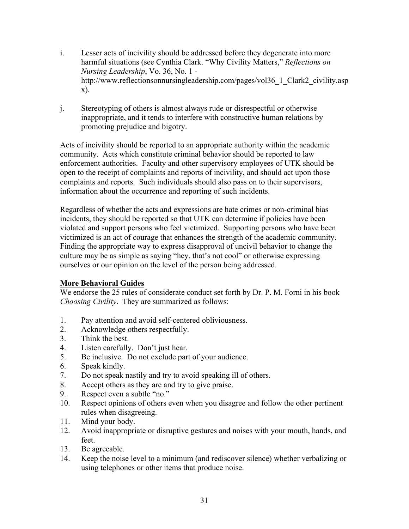- i. Lesser acts of incivility should be addressed before they degenerate into more harmful situations (see Cynthia Clark. "Why Civility Matters," *Reflections on Nursing Leadership*, Vo. 36, No. 1 http://www.reflectionsonnursingleadership.com/pages/vol36\_1\_Clark2\_civility.asp x).
- j. Stereotyping of others is almost always rude or disrespectful or otherwise inappropriate, and it tends to interfere with constructive human relations by promoting prejudice and bigotry.

Acts of incivility should be reported to an appropriate authority within the academic community. Acts which constitute criminal behavior should be reported to law enforcement authorities. Faculty and other supervisory employees of UTK should be open to the receipt of complaints and reports of incivility, and should act upon those complaints and reports. Such individuals should also pass on to their supervisors, information about the occurrence and reporting of such incidents.

Regardless of whether the acts and expressions are hate crimes or non-criminal bias incidents, they should be reported so that UTK can determine if policies have been violated and support persons who feel victimized. Supporting persons who have been victimized is an act of courage that enhances the strength of the academic community. Finding the appropriate way to express disapproval of uncivil behavior to change the culture may be as simple as saying "hey, that's not cool" or otherwise expressing ourselves or our opinion on the level of the person being addressed.

# **More Behavioral Guides**

We endorse the 25 rules of considerate conduct set forth by Dr. P. M. Forni in his book *Choosing Civility*. They are summarized as follows:

- 1. Pay attention and avoid self-centered obliviousness.
- 2. Acknowledge others respectfully.
- 3. Think the best.
- 4. Listen carefully. Don't just hear.
- 5. Be inclusive. Do not exclude part of your audience.
- 6. Speak kindly.
- 7. Do not speak nastily and try to avoid speaking ill of others.
- 8. Accept others as they are and try to give praise.
- 9. Respect even a subtle "no."
- 10. Respect opinions of others even when you disagree and follow the other pertinent rules when disagreeing.
- 11. Mind your body.
- 12. Avoid inappropriate or disruptive gestures and noises with your mouth, hands, and feet.
- 13. Be agreeable.
- 14. Keep the noise level to a minimum (and rediscover silence) whether verbalizing or using telephones or other items that produce noise.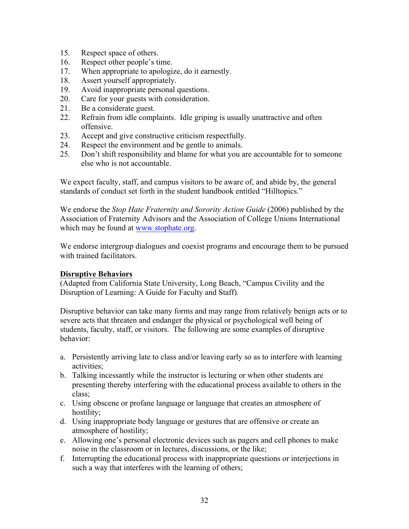- 15. Respect space of others.
- 16. Respect other people's time.
- 17. When appropriate to apologize, do it earnestly.
- 18. Assert yourself appropriately.
- 19. Avoid inappropriate personal questions.
- 20. Care for your guests with consideration.
- 21. Be a considerate guest.
- 22. Refrain from idle complaints. Idle griping is usually unattractive and often offensive.
- 23. Accept and give constructive criticism respectfully.
- 24. Respect the environment and be gentle to animals.
- 25. Don't shift responsibility and blame for what you are accountable for to someone else who is not accountable.

We expect faculty, staff, and campus visitors to be aware of, and abide by, the general standards of conduct set forth in the student handbook entitled "Hilltopics."

We endorse the *Stop Hate Fraternity and Sorority Action Guide* (2006) published by the Association of Fraternity Advisors and the Association of College Unions International which may be found at www.stophate.org.

We endorse intergroup dialogues and coexist programs and encourage them to be pursued with trained facilitators.

# **Disruptive Behaviors**

(Adapted from California State University, Long Beach, "Campus Civility and the Disruption of Learning: A Guide for Faculty and Staff).

Disruptive behavior can take many forms and may range from relatively benign acts or to severe acts that threaten and endanger the physical or psychological well being of students, faculty, staff, or visitors. The following are some examples of disruptive behavior:

- a. Persistently arriving late to class and/or leaving early so as to interfere with learning activities;
- b. Talking incessantly while the instructor is lecturing or when other students are presenting thereby interfering with the educational process available to others in the class;
- c. Using obscene or profane language or language that creates an atmosphere of hostility;
- d. Using inappropriate body language or gestures that are offensive or create an atmosphere of hostility;
- e. Allowing one's personal electronic devices such as pagers and cell phones to make noise in the classroom or in lectures, discussions, or the like;
- f. Interrupting the educational process with inappropriate questions or interjections in such a way that interferes with the learning of others;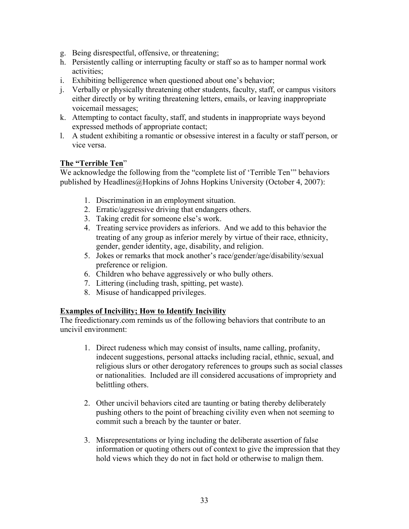- g. Being disrespectful, offensive, or threatening;
- h. Persistently calling or interrupting faculty or staff so as to hamper normal work activities;
- i. Exhibiting belligerence when questioned about one's behavior;
- j. Verbally or physically threatening other students, faculty, staff, or campus visitors either directly or by writing threatening letters, emails, or leaving inappropriate voicemail messages;
- k. Attempting to contact faculty, staff, and students in inappropriate ways beyond expressed methods of appropriate contact;
- l. A student exhibiting a romantic or obsessive interest in a faculty or staff person, or vice versa.

# **The "Terrible Ten**"

We acknowledge the following from the "complete list of 'Terrible Ten'" behaviors published by Headlines@Hopkins of Johns Hopkins University (October 4, 2007):

- 1. Discrimination in an employment situation.
- 2. Erratic/aggressive driving that endangers others.
- 3. Taking credit for someone else's work.
- 4. Treating service providers as inferiors. And we add to this behavior the treating of any group as inferior merely by virtue of their race, ethnicity, gender, gender identity, age, disability, and religion.
- 5. Jokes or remarks that mock another's race/gender/age/disability/sexual preference or religion.
- 6. Children who behave aggressively or who bully others.
- 7. Littering (including trash, spitting, pet waste).
- 8. Misuse of handicapped privileges.

#### **Examples of Incivility; How to Identify Incivility**

The freedictionary.com reminds us of the following behaviors that contribute to an uncivil environment:

- 1. Direct rudeness which may consist of insults, name calling, profanity, indecent suggestions, personal attacks including racial, ethnic, sexual, and religious slurs or other derogatory references to groups such as social classes or nationalities. Included are ill considered accusations of impropriety and belittling others.
- 2. Other uncivil behaviors cited are taunting or bating thereby deliberately pushing others to the point of breaching civility even when not seeming to commit such a breach by the taunter or bater.
- 3. Misrepresentations or lying including the deliberate assertion of false information or quoting others out of context to give the impression that they hold views which they do not in fact hold or otherwise to malign them.